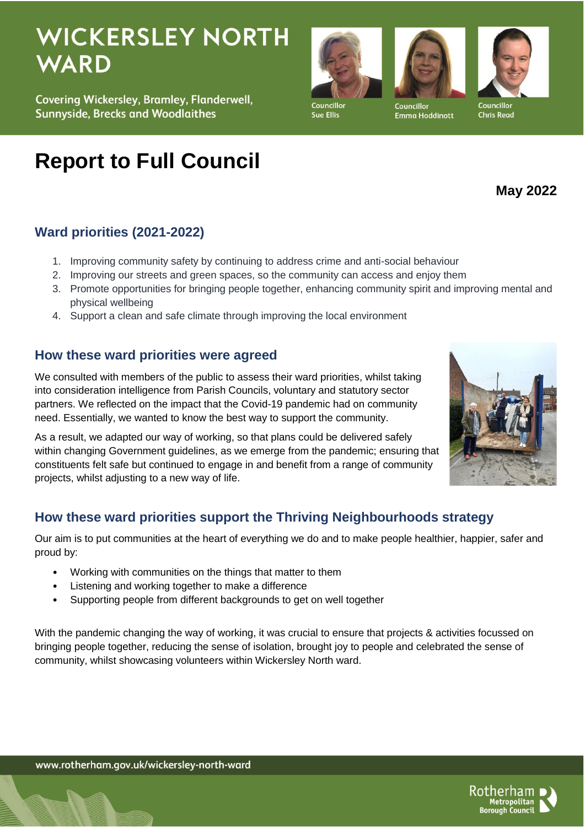# **WICKERSLEY NORTH WARD**

Covering Wickersley, Bramley, Flanderwell, **Sunnyside, Brecks and Woodlaithes** 

# **Report to Full Council**

## **Ward priorities (2021-2022)**

- 1. Improving community safety by continuing to address crime and anti-social behaviour
- 2. Improving our streets and green spaces, so the community can access and enjoy them
- 3. Promote opportunities for bringing people together, enhancing community spirit and improving mental and physical wellbeing
- 4. Support a clean and safe climate through improving the local environment

#### **How these ward priorities were agreed**

We consulted with members of the public to assess their ward priorities, whilst taking into consideration intelligence from Parish Councils, voluntary and statutory sector partners. We reflected on the impact that the Covid-19 pandemic had on community need. Essentially, we wanted to know the best way to support the community.

As a result, we adapted our way of working, so that plans could be delivered safely within changing Government guidelines, as we emerge from the pandemic; ensuring that constituents felt safe but continued to engage in and benefit from a range of community projects, whilst adjusting to a new way of life.

### **How these ward priorities support the Thriving Neighbourhoods strategy**

Our aim is to put communities at the heart of everything we do and to make people healthier, happier, safer and proud by:

- Working with communities on the things that matter to them
- Listening and working together to make a difference
- Supporting people from different backgrounds to get on well together

With the pandemic changing the way of working, it was crucial to ensure that projects & activities focussed on bringing people together, reducing the sense of isolation, brought joy to people and celebrated the sense of community, whilst showcasing volunteers within Wickersley North ward.



Emma Hoddinott



**May 2022**







Sue Ellis